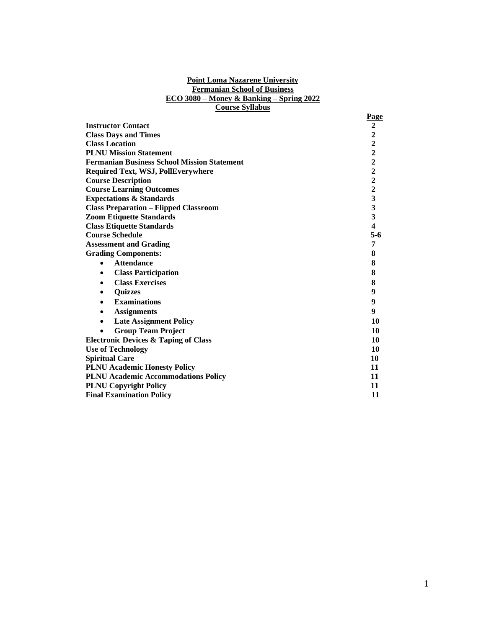## **Point Loma Nazarene University Fermanian School of Business ECO 3080 – Money & Banking – Spring 2022 Course Syllabus**

|                                                    | Page                                       |
|----------------------------------------------------|--------------------------------------------|
| <b>Instructor Contact</b>                          | $\boldsymbol{2}$                           |
| <b>Class Days and Times</b>                        | $\boldsymbol{2}$                           |
| <b>Class Location</b>                              | $\begin{array}{c} 2 \\ 2 \\ 2 \end{array}$ |
| <b>PLNU Mission Statement</b>                      |                                            |
| <b>Fermanian Business School Mission Statement</b> |                                            |
| <b>Required Text, WSJ, PollEverywhere</b>          | $\begin{array}{c} 2 \\ 2 \\ 2 \end{array}$ |
| <b>Course Description</b>                          |                                            |
| <b>Course Learning Outcomes</b>                    |                                            |
| <b>Expectations &amp; Standards</b>                | $\overline{\mathbf{3}}$                    |
| <b>Class Preparation - Flipped Classroom</b>       | $\overline{\mathbf{3}}$                    |
| <b>Zoom Etiquette Standards</b>                    | $\overline{\mathbf{3}}$                    |
| <b>Class Etiquette Standards</b>                   | 4                                          |
| <b>Course Schedule</b>                             | $5-6$                                      |
| <b>Assessment and Grading</b>                      | 7                                          |
| <b>Grading Components:</b>                         | 8                                          |
| <b>Attendance</b>                                  | 8                                          |
| <b>Class Participation</b><br>٠                    | 8                                          |
| <b>Class Exercises</b><br>٠                        | 8                                          |
| <b>Quizzes</b><br>٠                                | 9                                          |
| <b>Examinations</b><br>$\bullet$                   | 9                                          |
| <b>Assignments</b><br>٠                            | 9                                          |
| <b>Late Assignment Policy</b><br>٠                 | 10                                         |
| <b>Group Team Project</b>                          | 10                                         |
| <b>Electronic Devices &amp; Taping of Class</b>    | 10                                         |
| <b>Use of Technology</b>                           | 10                                         |
| <b>Spiritual Care</b>                              | 10                                         |
| <b>PLNU Academic Honesty Policy</b>                | 11                                         |
| <b>PLNU Academic Accommodations Policy</b>         | 11                                         |
| <b>PLNU Copyright Policy</b>                       | 11                                         |
| <b>Final Examination Policy</b>                    |                                            |
|                                                    |                                            |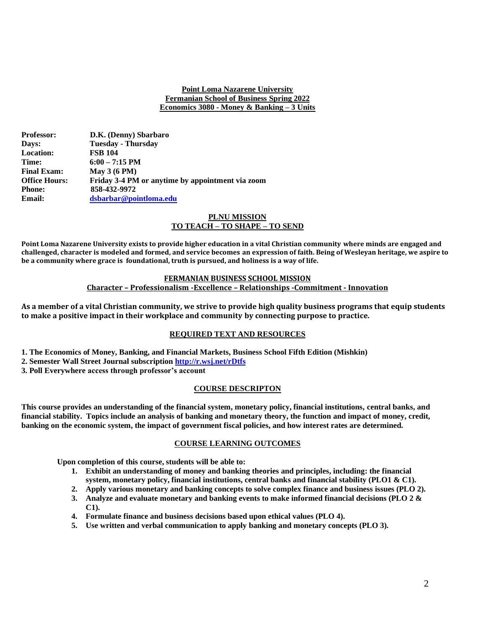## **Point Loma Nazarene University Fermanian School of Business Spring 2022 Economics 3080 - Money & Banking – 3 Units**

| <b>Professor:</b>    | D.K. (Denny) Sbarbaro                            |
|----------------------|--------------------------------------------------|
| <b>Days:</b>         | <b>Tuesday - Thursday</b>                        |
| <b>Location:</b>     | <b>FSB 104</b>                                   |
| <b>Time:</b>         | $6:00 - 7:15 \text{ PM}$                         |
| <b>Final Exam:</b>   | May $3(6 PM)$                                    |
| <b>Office Hours:</b> | Friday 3-4 PM or anytime by appointment via zoom |
| <b>Phone:</b>        | 858-432-9972                                     |
| <b>Email:</b>        | dsbarbar@pointloma.edu                           |

## **PLNU MISSION TO TEACH – TO SHAPE – TO SEND**

**Point Loma Nazarene University exists to provide higher education in a vital Christian community where minds are engaged and challenged, character is modeled and formed, and service becomes an expression of faith. Being of Wesleyan heritage, we aspire to be a community where grace is foundational, truth is pursued, and holiness is a way of life.**

## **FERMANIAN BUSINESS SCHOOL MISSION Character – Professionalism -Excellence – Relationships -Commitment - Innovation**

**As a member of a vital Christian community, we strive to provide high quality business programs that equip students to make a positive impact in their workplace and community by connecting purpose to practice.**

# **REQUIRED TEXT AND RESOURCES**

- **1. The Economics of Money, Banking, and Financial Markets, Business School Fifth Edition (Mishkin)**
- **2. Semester Wall Street Journal subscription<http://r.wsj.net/rDtfs>**

**3. Poll Everywhere access through professor's account**

# **COURSE DESCRIPTON**

**This course provides an understanding of the financial system, monetary policy, financial institutions, central banks, and financial stability. Topics include an analysis of banking and monetary theory, the function and impact of money, credit, banking on the economic system, the impact of government fiscal policies, and how interest rates are determined.**

# **COURSE LEARNING OUTCOMES**

**Upon completion of this course, students will be able to:**

- **1. Exhibit an understanding of money and banking theories and principles, including: the financial system, monetary policy, financial institutions, central banks and financial stability (PLO1 & C1).**
- **2. Apply various monetary and banking concepts to solve complex finance and business issues (PLO 2).**
- **3. Analyze and evaluate monetary and banking events to make informed financial decisions (PLO 2 & C1).**
- **4. Formulate finance and business decisions based upon ethical values (PLO 4).**
- **5. Use written and verbal communication to apply banking and monetary concepts (PLO 3).**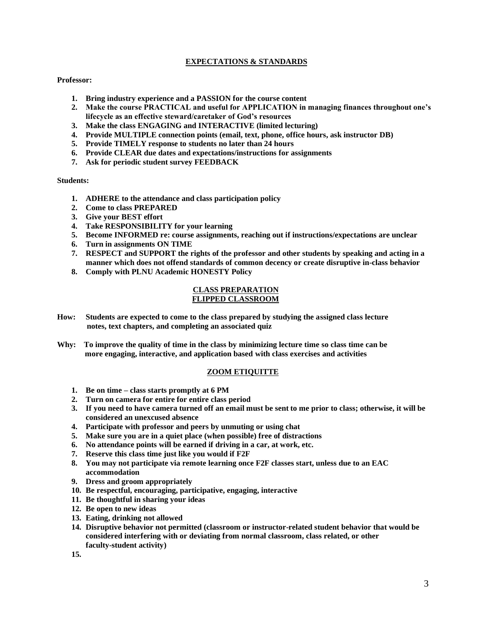# **EXPECTATIONS & STANDARDS**

## **Professor:**

- **1. Bring industry experience and a PASSION for the course content**
- **2. Make the course PRACTICAL and useful for APPLICATION in managing finances throughout one's lifecycle as an effective steward/caretaker of God's resources**
- **3. Make the class ENGAGING and INTERACTIVE (limited lecturing)**
- **4. Provide MULTIPLE connection points (email, text, phone, office hours, ask instructor DB)**
- **5. Provide TIMELY response to students no later than 24 hours**
- **6. Provide CLEAR due dates and expectations/instructions for assignments**
- **7. Ask for periodic student survey FEEDBACK**

### **Students:**

- **1. ADHERE to the attendance and class participation policy**
- **2. Come to class PREPARED**
- **3. Give your BEST effort**
- **4. Take RESPONSIBILITY for your learning**
- **5. Become INFORMED re: course assignments, reaching out if instructions/expectations are unclear**
- **6. Turn in assignments ON TIME**
- **7. RESPECT and SUPPORT the rights of the professor and other students by speaking and acting in a manner which does not offend standards of common decency or create disruptive in-class behavior**
- **8. Comply with PLNU Academic HONESTY Policy**

### **CLASS PREPARATION FLIPPED CLASSROOM**

- **How: Students are expected to come to the class prepared by studying the assigned class lecture notes, text chapters, and completing an associated quiz**
- **Why: To improve the quality of time in the class by minimizing lecture time so class time can be more engaging, interactive, and application based with class exercises and activities**

# **ZOOM ETIQUITTE**

- **1. Be on time – class starts promptly at 6 PM**
- **2. Turn on camera for entire for entire class period**
- **3. If you need to have camera turned off an email must be sent to me prior to class; otherwise, it will be considered an unexcused absence**
- **4. Participate with professor and peers by unmuting or using chat**
- **5. Make sure you are in a quiet place (when possible) free of distractions**
- **6. No attendance points will be earned if driving in a car, at work, etc.**
- **7. Reserve this class time just like you would if F2F**
- **8. You may not participate via remote learning once F2F classes start, unless due to an EAC accommodation**
- **9. Dress and groom appropriately**
- **10. Be respectful, encouraging, participative, engaging, interactive**
- **11. Be thoughtful in sharing your ideas**
- **12. Be open to new ideas**
- **13. Eating, drinking not allowed**
- **14. Disruptive behavior not permitted (classroom or instructor-related student behavior that would be considered interfering with or deviating from normal classroom, class related, or other faculty-student activity)**

**15.**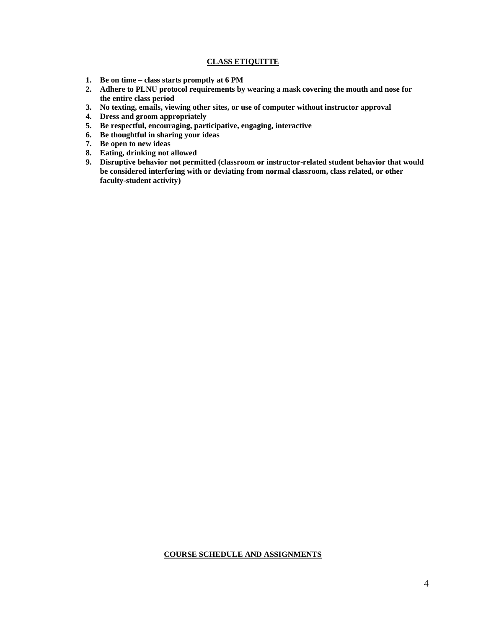# **CLASS ETIQUITTE**

- **1. Be on time – class starts promptly at 6 PM**
- **2. Adhere to PLNU protocol requirements by wearing a mask covering the mouth and nose for the entire class period**
- **3. No texting, emails, viewing other sites, or use of computer without instructor approval**
- **4. Dress and groom appropriately**
- **5. Be respectful, encouraging, participative, engaging, interactive**
- **6. Be thoughtful in sharing your ideas**
- **7. Be open to new ideas**
- **8. Eating, drinking not allowed**
- **9. Disruptive behavior not permitted (classroom or instructor-related student behavior that would be considered interfering with or deviating from normal classroom, class related, or other faculty-student activity)**

### **COURSE SCHEDULE AND ASSIGNMENTS**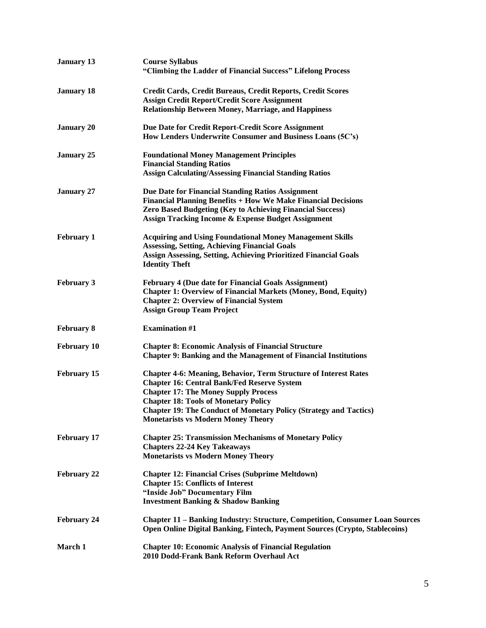| <b>January 13</b>  | <b>Course Syllabus</b><br>"Climbing the Ladder of Financial Success" Lifelong Process                                                                                                                                                                                                                                                                |
|--------------------|------------------------------------------------------------------------------------------------------------------------------------------------------------------------------------------------------------------------------------------------------------------------------------------------------------------------------------------------------|
| <b>January 18</b>  | Credit Cards, Credit Bureaus, Credit Reports, Credit Scores<br><b>Assign Credit Report/Credit Score Assignment</b><br><b>Relationship Between Money, Marriage, and Happiness</b>                                                                                                                                                                     |
| <b>January 20</b>  | Due Date for Credit Report-Credit Score Assignment<br>How Lenders Underwrite Consumer and Business Loans (5C's)                                                                                                                                                                                                                                      |
| <b>January 25</b>  | <b>Foundational Money Management Principles</b><br><b>Financial Standing Ratios</b><br><b>Assign Calculating/Assessing Financial Standing Ratios</b>                                                                                                                                                                                                 |
| <b>January 27</b>  | Due Date for Financial Standing Ratios Assignment<br>Financial Planning Benefits + How We Make Financial Decisions<br>Zero Based Budgeting (Key to Achieving Financial Success)<br><b>Assign Tracking Income &amp; Expense Budget Assignment</b>                                                                                                     |
| <b>February 1</b>  | <b>Acquiring and Using Foundational Money Management Skills</b><br><b>Assessing, Setting, Achieving Financial Goals</b><br><b>Assign Assessing, Setting, Achieving Prioritized Financial Goals</b><br><b>Identity Theft</b>                                                                                                                          |
| <b>February 3</b>  | <b>February 4 (Due date for Financial Goals Assignment)</b><br><b>Chapter 1: Overview of Financial Markets (Money, Bond, Equity)</b><br><b>Chapter 2: Overview of Financial System</b><br><b>Assign Group Team Project</b>                                                                                                                           |
| <b>February 8</b>  | <b>Examination #1</b>                                                                                                                                                                                                                                                                                                                                |
| <b>February 10</b> | <b>Chapter 8: Economic Analysis of Financial Structure</b><br><b>Chapter 9: Banking and the Management of Financial Institutions</b>                                                                                                                                                                                                                 |
| <b>February 15</b> | <b>Chapter 4-6: Meaning, Behavior, Term Structure of Interest Rates</b><br><b>Chapter 16: Central Bank/Fed Reserve System</b><br><b>Chapter 17: The Money Supply Process</b><br><b>Chapter 18: Tools of Monetary Policy</b><br><b>Chapter 19: The Conduct of Monetary Policy (Strategy and Tactics)</b><br><b>Monetarists vs Modern Money Theory</b> |
| <b>February 17</b> | <b>Chapter 25: Transmission Mechanisms of Monetary Policy</b><br><b>Chapters 22-24 Key Takeaways</b><br><b>Monetarists vs Modern Money Theory</b>                                                                                                                                                                                                    |
| <b>February 22</b> | <b>Chapter 12: Financial Crises (Subprime Meltdown)</b><br><b>Chapter 15: Conflicts of Interest</b><br>"Inside Job" Documentary Film<br><b>Investment Banking &amp; Shadow Banking</b>                                                                                                                                                               |
| <b>February 24</b> | <b>Chapter 11 - Banking Industry: Structure, Competition, Consumer Loan Sources</b><br>Open Online Digital Banking, Fintech, Payment Sources (Crypto, Stablecoins)                                                                                                                                                                                   |
| March 1            | <b>Chapter 10: Economic Analysis of Financial Regulation</b><br>2010 Dodd-Frank Bank Reform Overhaul Act                                                                                                                                                                                                                                             |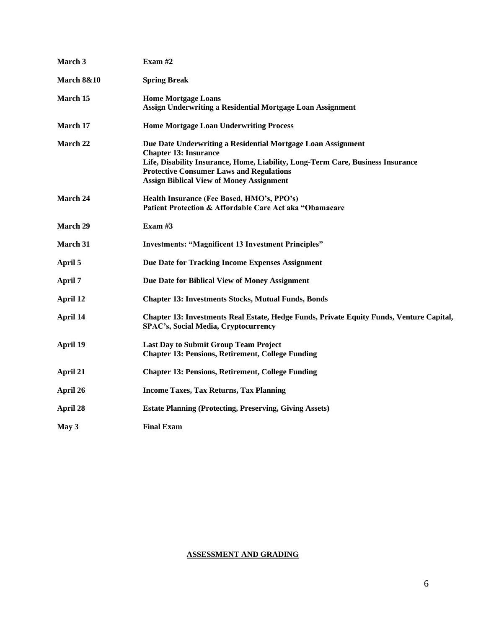| March 3               | Exam $#2$                                                                                                                                                                                                                                                                             |
|-----------------------|---------------------------------------------------------------------------------------------------------------------------------------------------------------------------------------------------------------------------------------------------------------------------------------|
| <b>March 8&amp;10</b> | <b>Spring Break</b>                                                                                                                                                                                                                                                                   |
| March 15              | <b>Home Mortgage Loans</b><br>Assign Underwriting a Residential Mortgage Loan Assignment                                                                                                                                                                                              |
| March 17              | <b>Home Mortgage Loan Underwriting Process</b>                                                                                                                                                                                                                                        |
| March 22              | Due Date Underwriting a Residential Mortgage Loan Assignment<br><b>Chapter 13: Insurance</b><br>Life, Disability Insurance, Home, Liability, Long-Term Care, Business Insurance<br><b>Protective Consumer Laws and Regulations</b><br><b>Assign Biblical View of Money Assignment</b> |
| March 24              | Health Insurance (Fee Based, HMO's, PPO's)<br>Patient Protection & Affordable Care Act aka "Obamacare                                                                                                                                                                                 |
| <b>March 29</b>       | Exam #3                                                                                                                                                                                                                                                                               |
| March 31              | <b>Investments: "Magnificent 13 Investment Principles"</b>                                                                                                                                                                                                                            |
| April 5               | Due Date for Tracking Income Expenses Assignment                                                                                                                                                                                                                                      |
| April 7               | Due Date for Biblical View of Money Assignment                                                                                                                                                                                                                                        |
| April 12              | <b>Chapter 13: Investments Stocks, Mutual Funds, Bonds</b>                                                                                                                                                                                                                            |
| April 14              | Chapter 13: Investments Real Estate, Hedge Funds, Private Equity Funds, Venture Capital,<br><b>SPAC's, Social Media, Cryptocurrency</b>                                                                                                                                               |
| April 19              | <b>Last Day to Submit Group Team Project</b><br><b>Chapter 13: Pensions, Retirement, College Funding</b>                                                                                                                                                                              |
| April 21              | <b>Chapter 13: Pensions, Retirement, College Funding</b>                                                                                                                                                                                                                              |
| April 26              | <b>Income Taxes, Tax Returns, Tax Planning</b>                                                                                                                                                                                                                                        |
| April 28              | <b>Estate Planning (Protecting, Preserving, Giving Assets)</b>                                                                                                                                                                                                                        |
| May 3                 | <b>Final Exam</b>                                                                                                                                                                                                                                                                     |

# **ASSESSMENT AND GRADING**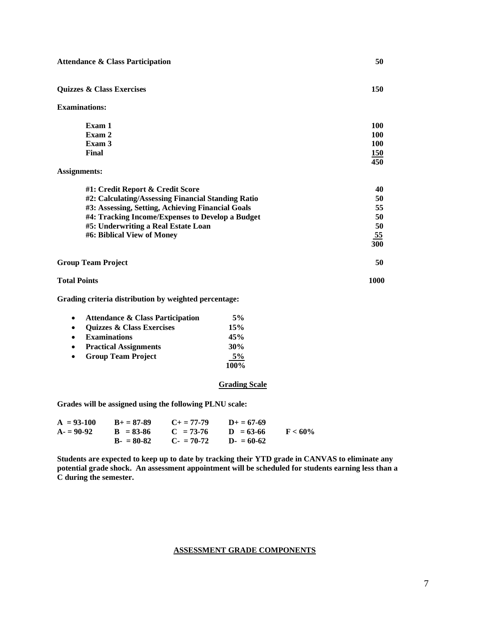**Quizzes & Class Exercises 150** 

**Examinations:**

| Exam 1 | <b>100</b> |
|--------|------------|
| Exam 2 | 100        |
| Exam 3 | 100        |
| Final  | 150        |
|        | 450        |

## **Assignments:**

| #1: Credit Report & Credit Score                   | 40        |
|----------------------------------------------------|-----------|
| #2: Calculating/Assessing Financial Standing Ratio | 50        |
| #3: Assessing, Setting, Achieving Financial Goals  | 55        |
| #4: Tracking Income/Expenses to Develop a Budget   | 50        |
| #5: Underwriting a Real Estate Loan                | 50        |
| #6: Biblical View of Money                         | <u>55</u> |
|                                                    | 300       |
| <b>Group Team Project</b>                          | 50        |

**Total Points 1000** 

**Grading criteria distribution by weighted percentage:**

|           | <b>Attendance &amp; Class Participation</b> | 5%   |
|-----------|---------------------------------------------|------|
| $\bullet$ | <b>Quizzes &amp; Class Exercises</b>        | 15%  |
| $\bullet$ | <b>Examinations</b>                         | 45%  |
| $\bullet$ | <b>Practical Assignments</b>                | 30%  |
| $\bullet$ | <b>Group Team Project</b>                   | 5%   |
|           |                                             | 100% |

### **Grading Scale**

**Grades will be assigned using the following PLNU scale:**

| $A = 93-100$ | $B_{+} = 87 - 89$ | $C_{\pm} = 77 - 79$ | $D+ = 67-69$ |            |
|--------------|-------------------|---------------------|--------------|------------|
| $A = 90-92$  | $B = 83-86$       | $C = 73-76$         | $D = 63-66$  | $F < 60\%$ |
|              | $B - 80-82$       | $C_z = 70-72$       | $D = 60-62$  |            |

**Students are expected to keep up to date by tracking their YTD grade in CANVAS to eliminate any potential grade shock. An assessment appointment will be scheduled for students earning less than a C during the semester.**

## **ASSESSMENT GRADE COMPONENTS**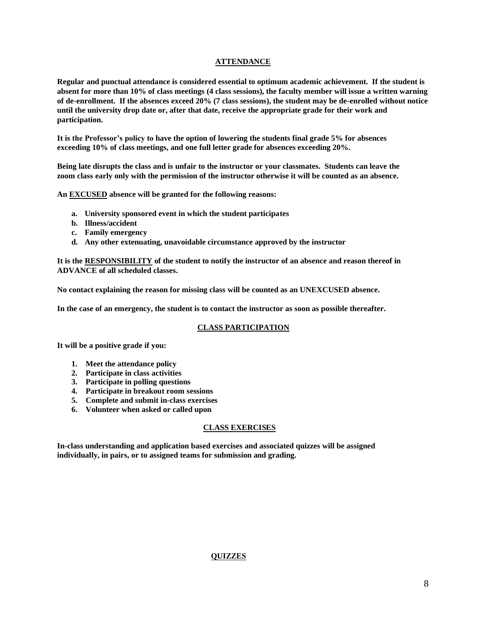# **ATTENDANCE**

**Regular and punctual attendance is considered essential to optimum academic achievement. If the student is absent for more than 10% of class meetings (4 class sessions), the faculty member will issue a written warning of de-enrollment. If the absences exceed 20% (7 class sessions), the student may be de-enrolled without notice until the university drop date or, after that date, receive the appropriate grade for their work and participation.**

**It is the Professor's policy to have the option of lowering the students final grade 5% for absences exceeding 10% of class meetings, and one full letter grade for absences exceeding 20%.**

**Being late disrupts the class and is unfair to the instructor or your classmates. Students can leave the zoom class early only with the permission of the instructor otherwise it will be counted as an absence.**

**An EXCUSED absence will be granted for the following reasons:**

- **a. University sponsored event in which the student participates**
- **b. Illness/accident**
- **c. Family emergency**
- **d. Any other extenuating, unavoidable circumstance approved by the instructor**

**It is the RESPONSIBILITY of the student to notify the instructor of an absence and reason thereof in ADVANCE of all scheduled classes.** 

**No contact explaining the reason for missing class will be counted as an UNEXCUSED absence.**

**In the case of an emergency, the student is to contact the instructor as soon as possible thereafter.**

# **CLASS PARTICIPATION**

**It will be a positive grade if you:**

- **1. Meet the attendance policy**
- **2. Participate in class activities**
- **3. Participate in polling questions**
- **4. Participate in breakout room sessions**
- **5. Complete and submit in-class exercises**
- **6. Volunteer when asked or called upon**

# **CLASS EXERCISES**

**In-class understanding and application based exercises and associated quizzes will be assigned individually, in pairs, or to assigned teams for submission and grading.**

# **QUIZZES**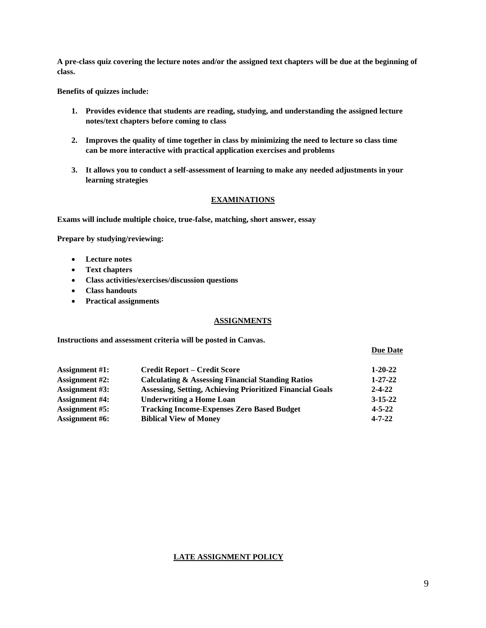**A pre-class quiz covering the lecture notes and/or the assigned text chapters will be due at the beginning of class.**

**Benefits of quizzes include:**

- **1. Provides evidence that students are reading, studying, and understanding the assigned lecture notes/text chapters before coming to class**
- **2. Improves the quality of time together in class by minimizing the need to lecture so class time can be more interactive with practical application exercises and problems**
- **3. It allows you to conduct a self-assessment of learning to make any needed adjustments in your learning strategies**

## **EXAMINATIONS**

**Exams will include multiple choice, true-false, matching, short answer, essay**

**Prepare by studying/reviewing:**

- **Lecture notes**
- **Text chapters**
- **Class activities/exercises/discussion questions**
- **Class handouts**
- **Practical assignments**

### **ASSIGNMENTS**

**Instructions and assessment criteria will be posted in Canvas.**

 **Due Date** 

| <b>Assignment</b> #1: | <b>Credit Report – Credit Score</b>                              | $1 - 20 - 22$ |
|-----------------------|------------------------------------------------------------------|---------------|
| <b>Assignment</b> #2: | <b>Calculating &amp; Assessing Financial Standing Ratios</b>     | $1 - 27 - 22$ |
| <b>Assignment #3:</b> | <b>Assessing, Setting, Achieving Prioritized Financial Goals</b> | $2 - 4 - 22$  |
| <b>Assignment</b> #4: | <b>Underwriting a Home Loan</b>                                  | $3 - 15 - 22$ |
| <b>Assignment #5:</b> | <b>Tracking Income-Expenses Zero Based Budget</b>                | $4 - 5 - 22$  |
| <b>Assignment</b> #6: | <b>Biblical View of Money</b>                                    | $4 - 7 - 22$  |

### **LATE ASSIGNMENT POLICY**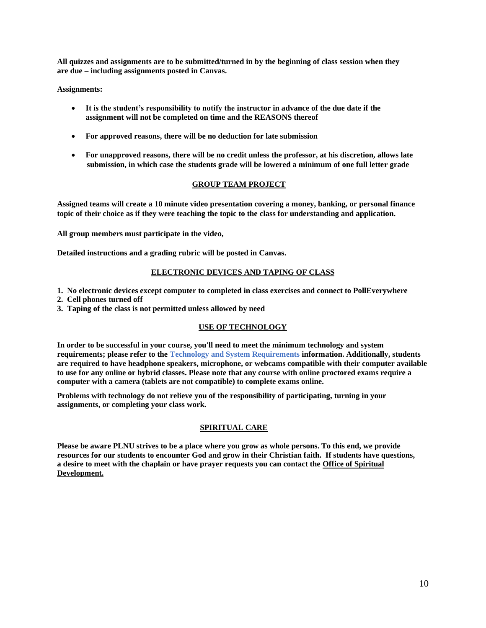**All quizzes and assignments are to be submitted/turned in by the beginning of class session when they are due – including assignments posted in Canvas.** 

**Assignments:** 

- **It is the student's responsibility to notify the instructor in advance of the due date if the assignment will not be completed on time and the REASONS thereof**
- **For approved reasons, there will be no deduction for late submission**
- **For unapproved reasons, there will be no credit unless the professor, at his discretion, allows late submission, in which case the students grade will be lowered a minimum of one full letter grade**

## **GROUP TEAM PROJECT**

**Assigned teams will create a 10 minute video presentation covering a money, banking, or personal finance topic of their choice as if they were teaching the topic to the class for understanding and application.**

**All group members must participate in the video,**

**Detailed instructions and a grading rubric will be posted in Canvas.**

## **ELECTRONIC DEVICES AND TAPING OF CLASS**

- **1. No electronic devices except computer to completed in class exercises and connect to PollEverywhere**
- **2. Cell phones turned off**
- **3. Taping of the class is not permitted unless allowed by need**

# **USE OF TECHNOLOGY**

**In order to be successful in your course, you'll need to meet the minimum technology and system requirements; please refer to the [Technology and System Requirements](https://help.pointloma.edu/TDClient/1808/Portal/KB/ArticleDet?ID=108349) information. Additionally, students are required to have headphone speakers, microphone, or webcams compatible with their computer available to use for any online or hybrid classes. Please note that any course with online proctored exams require a computer with a camera (tablets are not compatible) to complete exams online.**

**Problems with technology do not relieve you of the responsibility of participating, turning in your assignments, or completing your class work.**

# **SPIRITUAL CARE**

**Please be aware PLNU strives to be a place where you grow as whole persons. To this end, we provide resources for our students to encounter God and grow in their Christian faith. If students have questions, a desire to meet with the chaplain or have prayer requests you can contact the Office of Spiritual Development.**